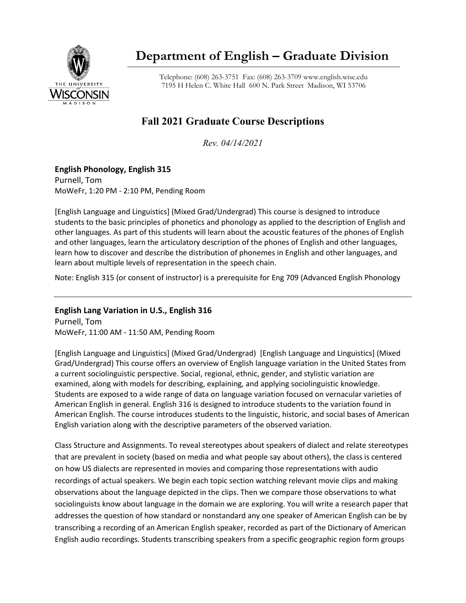

# **Department of English – Graduate Division**

Telephone: (608) 263-3751 Fax: (608) 263-3709 www.english.wisc.edu 7195 H Helen C. White Hall 600 N. Park Street Madison, WI 53706

# **Fall 2021 Graduate Course Descriptions**

*Rev. 04/14/2021*

# **English Phonology, English 315**

Purnell, Tom MoWeFr, 1:20 PM - 2:10 PM, Pending Room

[English Language and Linguistics] (Mixed Grad/Undergrad) This course is designed to introduce students to the basic principles of phonetics and phonology as applied to the description of English and other languages. As part of this students will learn about the acoustic features of the phones of English and other languages, learn the articulatory description of the phones of English and other languages, learn how to discover and describe the distribution of phonemes in English and other languages, and learn about multiple levels of representation in the speech chain.

Note: English 315 (or consent of instructor) is a prerequisite for Eng 709 (Advanced English Phonology

**English Lang Variation in U.S., English 316** 

Purnell, Tom MoWeFr, 11:00 AM - 11:50 AM, Pending Room

[English Language and Linguistics] (Mixed Grad/Undergrad) [English Language and Linguistics] (Mixed Grad/Undergrad) This course offers an overview of English language variation in the United States from a current sociolinguistic perspective. Social, regional, ethnic, gender, and stylistic variation are examined, along with models for describing, explaining, and applying sociolinguistic knowledge. Students are exposed to a wide range of data on language variation focused on vernacular varieties of American English in general. English 316 is designed to introduce students to the variation found in American English. The course introduces students to the linguistic, historic, and social bases of American English variation along with the descriptive parameters of the observed variation.

Class Structure and Assignments. To reveal stereotypes about speakers of dialect and relate stereotypes that are prevalent in society (based on media and what people say about others), the class is centered on how US dialects are represented in movies and comparing those representations with audio recordings of actual speakers. We begin each topic section watching relevant movie clips and making observations about the language depicted in the clips. Then we compare those observations to what sociolinguists know about language in the domain we are exploring. You will write a research paper that addresses the question of how standard or nonstandard any one speaker of American English can be by transcribing a recording of an American English speaker, recorded as part of the Dictionary of American English audio recordings. Students transcribing speakers from a specific geographic region form groups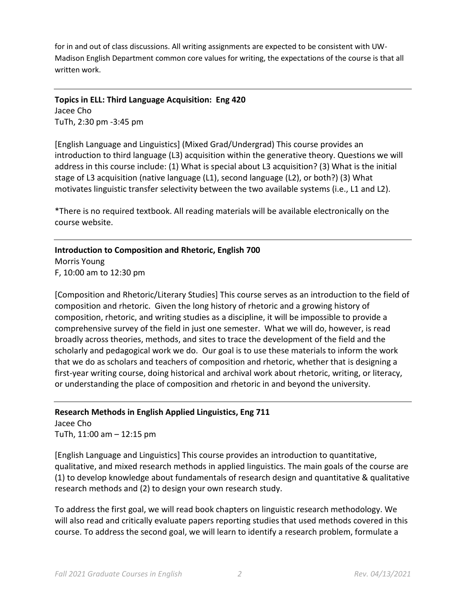for in and out of class discussions. All writing assignments are expected to be consistent with UW-Madison English Department common core values for writing, the expectations of the course is that all written work.

**Topics in ELL: Third Language Acquisition: Eng 420** Jacee Cho TuTh, 2:30 pm -3:45 pm

[English Language and Linguistics] (Mixed Grad/Undergrad) This course provides an introduction to third language (L3) acquisition within the generative theory. Questions we will address in this course include: (1) What is special about L3 acquisition? (3) What is the initial stage of L3 acquisition (native language (L1), second language (L2), or both?) (3) What motivates linguistic transfer selectivity between the two available systems (i.e., L1 and L2).

\*There is no required textbook. All reading materials will be available electronically on the course website.

# **Introduction to Composition and Rhetoric, English 700**

Morris Young F, 10:00 am to 12:30 pm

[Composition and Rhetoric/Literary Studies] This course serves as an introduction to the field of composition and rhetoric. Given the long history of rhetoric and a growing history of composition, rhetoric, and writing studies as a discipline, it will be impossible to provide a comprehensive survey of the field in just one semester. What we will do, however, is read broadly across theories, methods, and sites to trace the development of the field and the scholarly and pedagogical work we do. Our goal is to use these materials to inform the work that we do as scholars and teachers of composition and rhetoric, whether that is designing a first-year writing course, doing historical and archival work about rhetoric, writing, or literacy, or understanding the place of composition and rhetoric in and beyond the university.

# **Research Methods in English Applied Linguistics, Eng 711**

Jacee Cho TuTh, 11:00 am – 12:15 pm

[English Language and Linguistics] This course provides an introduction to quantitative, qualitative, and mixed research methods in applied linguistics. The main goals of the course are (1) to develop knowledge about fundamentals of research design and quantitative & qualitative research methods and (2) to design your own research study.

To address the first goal, we will read book chapters on linguistic research methodology. We will also read and critically evaluate papers reporting studies that used methods covered in this course. To address the second goal, we will learn to identify a research problem, formulate a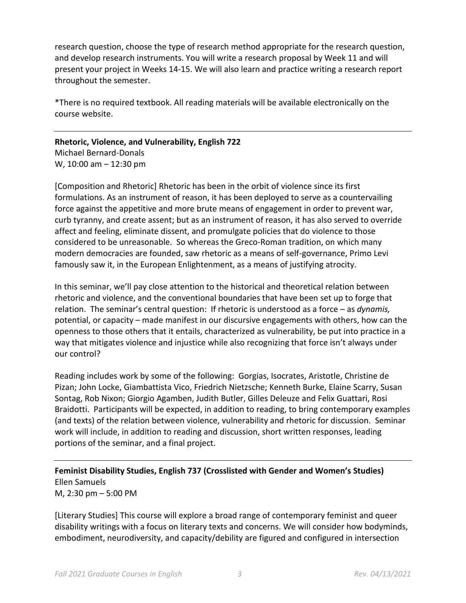research question, choose the type of research method appropriate for the research question, and develop research instruments. You will write a research proposal by Week 11 and will present your project in Weeks 14-15. We will also learn and practice writing a research report throughout the semester.

\*There is no required textbook. All reading materials will be available electronically on the course website.

**Rhetoric, Violence, and Vulnerability, English 722** Michael Bernard-Donals

W, 10:00 am – 12:30 pm

[Composition and Rhetoric] Rhetoric has been in the orbit of violence since its first formulations. As an instrument of reason, it has been deployed to serve as a countervailing force against the appetitive and more brute means of engagement in order to prevent war, curb tyranny, and create assent; but as an instrument of reason, it has also served to override affect and feeling, eliminate dissent, and promulgate policies that do violence to those considered to be unreasonable. So whereas the Greco-Roman tradition, on which many modern democracies are founded, saw rhetoric as a means of self-governance, Primo Levi famously saw it, in the European Enlightenment, as a means of justifying atrocity.

In this seminar, we'll pay close attention to the historical and theoretical relation between rhetoric and violence, and the conventional boundaries that have been set up to forge that relation. The seminar's central question: If rhetoric is understood as a force – as *dynamis,* potential, or capacity – made manifest in our discursive engagements with others, how can the openness to those others that it entails, characterized as vulnerability, be put into practice in a way that mitigates violence and injustice while also recognizing that force isn't always under our control?

Reading includes work by some of the following: Gorgias, Isocrates, Aristotle, Christine de Pizan; John Locke, Giambattista Vico, Friedrich Nietzsche; Kenneth Burke, Elaine Scarry, Susan Sontag, Rob Nixon; Giorgio Agamben, Judith Butler, Gilles Deleuze and Felix Guattari, Rosi Braidotti. Participants will be expected, in addition to reading, to bring contemporary examples (and texts) of the relation between violence, vulnerability and rhetoric for discussion. Seminar work will include, in addition to reading and discussion, short written responses, leading portions of the seminar, and a final project.

# **Feminist Disability Studies, English 737 (Crosslisted with Gender and Women's Studies)** Ellen Samuels M, 2:30 pm – 5:00 PM

[Literary Studies] This course will explore a broad range of contemporary feminist and queer disability writings with a focus on literary texts and concerns. We will consider how bodyminds, embodiment, neurodiversity, and capacity/debility are figured and configured in intersection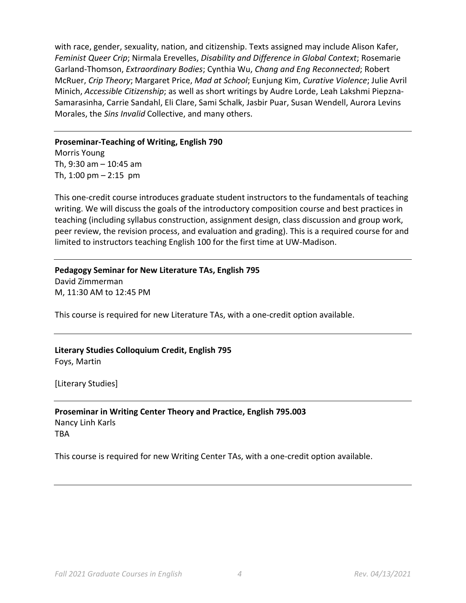with race, gender, sexuality, nation, and citizenship. Texts assigned may include Alison Kafer, *Feminist Queer Crip*; Nirmala Erevelles, *Disability and Difference in Global Context*; Rosemarie Garland-Thomson, *Extraordinary Bodies*; Cynthia Wu, *Chang and Eng Reconnected*; Robert McRuer, *Crip Theory*; Margaret Price, *Mad at School*; Eunjung Kim, *Curative Violence*; Julie Avril Minich, *Accessible Citizenship*; as well as short writings by Audre Lorde, Leah Lakshmi Piepzna-Samarasinha, Carrie Sandahl, Eli Clare, Sami Schalk, Jasbir Puar, Susan Wendell, Aurora Levins Morales, the *Sins Invalid* Collective, and many others.

#### **Proseminar-Teaching of Writing, English 790**

Morris Young Th, 9:30 am – 10:45 am Th, 1:00 pm – 2:15 pm

This one-credit course introduces graduate student instructors to the fundamentals of teaching writing. We will discuss the goals of the introductory composition course and best practices in teaching (including syllabus construction, assignment design, class discussion and group work, peer review, the revision process, and evaluation and grading). This is a required course for and limited to instructors teaching English 100 for the first time at UW-Madison.

# **Pedagogy Seminar for New Literature TAs, English 795**

David Zimmerman M, 11:30 AM to 12:45 PM

This course is required for new Literature TAs, with a one-credit option available.

### **Literary Studies Colloquium Credit, English 795** Foys, Martin

[Literary Studies]

### **Proseminar in Writing Center Theory and Practice, English 795.003** Nancy Linh Karls

TBA

This course is required for new Writing Center TAs, with a one-credit option available.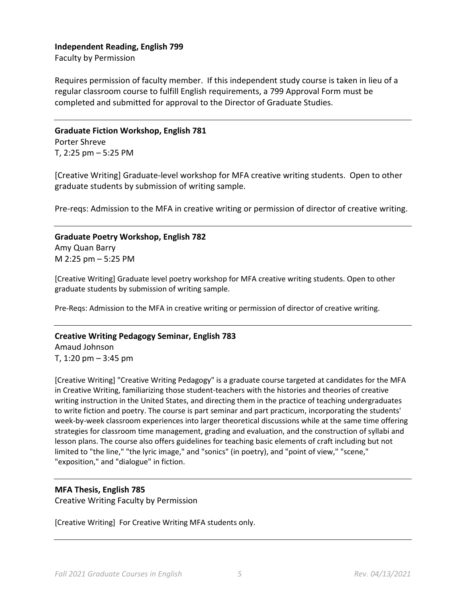#### **Independent Reading, English 799**

Faculty by Permission

Requires permission of faculty member. If this independent study course is taken in lieu of a regular classroom course to fulfill English requirements, a 799 Approval Form must be completed and submitted for approval to the Director of Graduate Studies.

# **Graduate Fiction Workshop, English 781**

Porter Shreve T, 2:25 pm – 5:25 PM

[Creative Writing] Graduate-level workshop for MFA creative writing students. Open to other graduate students by submission of writing sample.

Pre-reqs: Admission to the MFA in creative writing or permission of director of creative writing.

**Graduate Poetry Workshop, English 782** Amy Quan Barry M 2:25 pm – 5:25 PM

[Creative Writing] Graduate level poetry workshop for MFA creative writing students. Open to other graduate students by submission of writing sample.

Pre-Reqs: Admission to the MFA in creative writing or permission of director of creative writing.

#### **Creative Writing Pedagogy Seminar, English 783**

Amaud Johnson T, 1:20 pm – 3:45 pm

[Creative Writing] "Creative Writing Pedagogy" is a graduate course targeted at candidates for the MFA in Creative Writing, familiarizing those student-teachers with the histories and theories of creative writing instruction in the United States, and directing them in the practice of teaching undergraduates to write fiction and poetry. The course is part seminar and part practicum, incorporating the students' week-by-week classroom experiences into larger theoretical discussions while at the same time offering strategies for classroom time management, grading and evaluation, and the construction of syllabi and lesson plans. The course also offers guidelines for teaching basic elements of craft including but not limited to "the line," "the lyric image," and "sonics" (in poetry), and "point of view," "scene," "exposition," and "dialogue" in fiction.

#### **MFA Thesis, English 785**

Creative Writing Faculty by Permission

[Creative Writing] For Creative Writing MFA students only.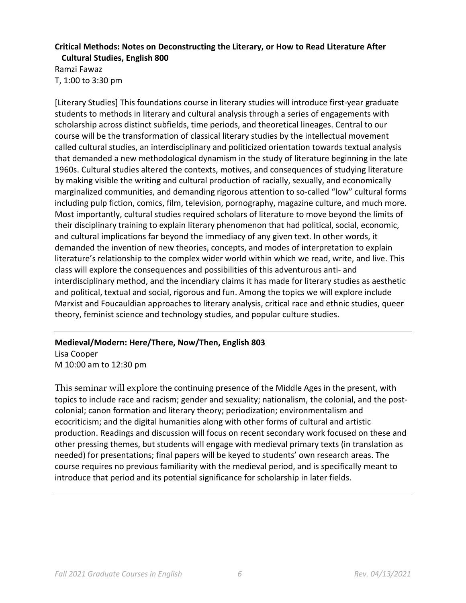#### **Critical Methods: Notes on Deconstructing the Literary, or How to Read Literature After Cultural Studies, English 800**

Ramzi Fawaz T, 1:00 to 3:30 pm

[Literary Studies] This foundations course in literary studies will introduce first-year graduate students to methods in literary and cultural analysis through a series of engagements with scholarship across distinct subfields, time periods, and theoretical lineages. Central to our course will be the transformation of classical literary studies by the intellectual movement called cultural studies, an interdisciplinary and politicized orientation towards textual analysis that demanded a new methodological dynamism in the study of literature beginning in the late 1960s. Cultural studies altered the contexts, motives, and consequences of studying literature by making visible the writing and cultural production of racially, sexually, and economically marginalized communities, and demanding rigorous attention to so-called "low" cultural forms including pulp fiction, comics, film, television, pornography, magazine culture, and much more. Most importantly, cultural studies required scholars of literature to move beyond the limits of their disciplinary training to explain literary phenomenon that had political, social, economic, and cultural implications far beyond the immediacy of any given text. In other words, it demanded the invention of new theories, concepts, and modes of interpretation to explain literature's relationship to the complex wider world within which we read, write, and live. This class will explore the consequences and possibilities of this adventurous anti- and interdisciplinary method, and the incendiary claims it has made for literary studies as aesthetic and political, textual and social, rigorous and fun. Among the topics we will explore include Marxist and Foucauldian approaches to literary analysis, critical race and ethnic studies, queer theory, feminist science and technology studies, and popular culture studies.

# **Medieval/Modern: Here/There, Now/Then, English 803** Lisa Cooper

M 10:00 am to 12:30 pm

This seminar will explore the continuing presence of the Middle Ages in the present, with topics to include race and racism; gender and sexuality; nationalism, the colonial, and the postcolonial; canon formation and literary theory; periodization; environmentalism and ecocriticism; and the digital humanities along with other forms of cultural and artistic production. Readings and discussion will focus on recent secondary work focused on these and other pressing themes, but students will engage with medieval primary texts (in translation as needed) for presentations; final papers will be keyed to students' own research areas. The course requires no previous familiarity with the medieval period, and is specifically meant to introduce that period and its potential significance for scholarship in later fields.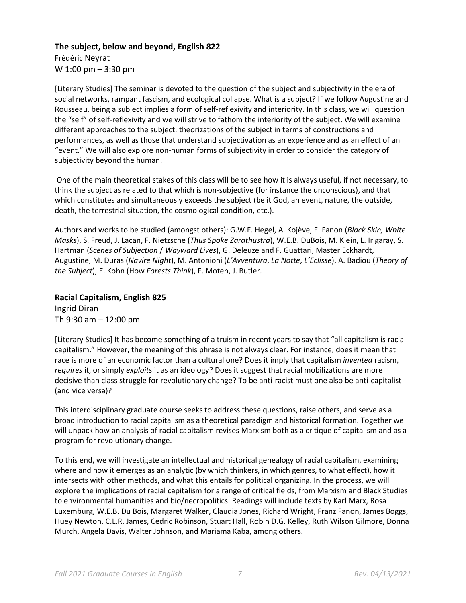#### **The subject, below and beyond, English 822**

Frédéric Neyrat W 1:00 pm – 3:30 pm

[Literary Studies] The seminar is devoted to the question of the subject and subjectivity in the era of social networks, rampant fascism, and ecological collapse. What is a subject? If we follow Augustine and Rousseau, being a subject implies a form of self-reflexivity and interiority. In this class, we will question the "self" of self-reflexivity and we will strive to fathom the interiority of the subject. We will examine different approaches to the subject: theorizations of the subject in terms of constructions and performances, as well as those that understand subjectivation as an experience and as an effect of an "event." We will also explore non-human forms of subjectivity in order to consider the category of subjectivity beyond the human.

One of the main theoretical stakes of this class will be to see how it is always useful, if not necessary, to think the subject as related to that which is non-subjective (for instance the unconscious), and that which constitutes and simultaneously exceeds the subject (be it God, an event, nature, the outside, death, the terrestrial situation, the cosmological condition, etc.).

Authors and works to be studied (amongst others): G.W.F. Hegel, A. Kojève, F. Fanon (*Black Skin, White Masks*), S. Freud, J. Lacan, F. Nietzsche (*Thus Spoke Zarathustra*), W.E.B. DuBois, M. Klein, L. Irigaray, S. Hartman (*Scenes of Subjection* / *Wayward Lives*), G. Deleuze and F. Guattari, Master Eckhardt, Augustine, M. Duras (*Navire Night*), M. Antonioni (*L'Avventura*, *La Notte*, *L'Eclisse*), A. Badiou (*Theory of the Subject*), E. Kohn (How *Forests Think*), F. Moten, J. Butler.

### **Racial Capitalism, English 825** Ingrid Diran Th 9:30 am – 12:00 pm

[Literary Studies] It has become something of a truism in recent years to say that "all capitalism is racial capitalism." However, the meaning of this phrase is not always clear. For instance, does it mean that race is more of an economic factor than a cultural one? Does it imply that capitalism *invented* racism, *requires* it, or simply *exploits* it as an ideology? Does it suggest that racial mobilizations are more decisive than class struggle for revolutionary change? To be anti-racist must one also be anti-capitalist (and vice versa)?

This interdisciplinary graduate course seeks to address these questions, raise others, and serve as a broad introduction to racial capitalism as a theoretical paradigm and historical formation. Together we will unpack how an analysis of racial capitalism revises Marxism both as a critique of capitalism and as a program for revolutionary change.

To this end, we will investigate an intellectual and historical genealogy of racial capitalism, examining where and how it emerges as an analytic (by which thinkers, in which genres, to what effect), how it intersects with other methods, and what this entails for political organizing. In the process, we will explore the implications of racial capitalism for a range of critical fields, from Marxism and Black Studies to environmental humanities and bio/necropolitics. Readings will include texts by Karl Marx, Rosa Luxemburg, W.E.B. Du Bois, Margaret Walker, Claudia Jones, Richard Wright, Franz Fanon, James Boggs, Huey Newton, C.L.R. James, Cedric Robinson, Stuart Hall, Robin D.G. Kelley, Ruth Wilson Gilmore, Donna Murch, Angela Davis, Walter Johnson, and Mariama Kaba, among others.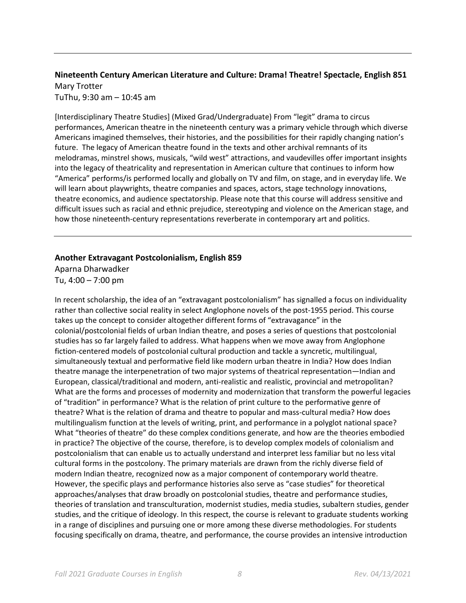#### **Nineteenth Century American Literature and Culture: Drama! Theatre! Spectacle, English 851** Mary Trotter TuThu, 9:30 am – 10:45 am

[Interdisciplinary Theatre Studies] (Mixed Grad/Undergraduate) From "legit" drama to circus performances, American theatre in the nineteenth century was a primary vehicle through which diverse Americans imagined themselves, their histories, and the possibilities for their rapidly changing nation's future. The legacy of American theatre found in the texts and other archival remnants of its melodramas, minstrel shows, musicals, "wild west" attractions, and vaudevilles offer important insights into the legacy of theatricality and representation in American culture that continues to inform how "America" performs/is performed locally and globally on TV and film, on stage, and in everyday life. We will learn about playwrights, theatre companies and spaces, actors, stage technology innovations, theatre economics, and audience spectatorship. Please note that this course will address sensitive and difficult issues such as racial and ethnic prejudice, stereotyping and violence on the American stage, and how those nineteenth-century representations reverberate in contemporary art and politics.

#### **Another Extravagant Postcolonialism, English 859**

Aparna Dharwadker Tu, 4:00 – 7:00 pm

In recent scholarship, the idea of an "extravagant postcolonialism" has signalled a focus on individuality rather than collective social reality in select Anglophone novels of the post-1955 period. This course takes up the concept to consider altogether different forms of "extravagance" in the colonial/postcolonial fields of urban Indian theatre, and poses a series of questions that postcolonial studies has so far largely failed to address. What happens when we move away from Anglophone fiction-centered models of postcolonial cultural production and tackle a syncretic, multilingual, simultaneously textual and performative field like modern urban theatre in India? How does Indian theatre manage the interpenetration of two major systems of theatrical representation—Indian and European, classical/traditional and modern, anti-realistic and realistic, provincial and metropolitan? What are the forms and processes of modernity and modernization that transform the powerful legacies of "tradition" in performance? What is the relation of print culture to the performative genre of theatre? What is the relation of drama and theatre to popular and mass-cultural media? How does multilingualism function at the levels of writing, print, and performance in a polyglot national space? What "theories of theatre" do these complex conditions generate, and how are the theories embodied in practice? The objective of the course, therefore, is to develop complex models of colonialism and postcolonialism that can enable us to actually understand and interpret less familiar but no less vital cultural forms in the postcolony. The primary materials are drawn from the richly diverse field of modern Indian theatre, recognized now as a major component of contemporary world theatre. However, the specific plays and performance histories also serve as "case studies" for theoretical approaches/analyses that draw broadly on postcolonial studies, theatre and performance studies, theories of translation and transculturation, modernist studies, media studies, subaltern studies, gender studies, and the critique of ideology. In this respect, the course is relevant to graduate students working in a range of disciplines and pursuing one or more among these diverse methodologies. For students focusing specifically on drama, theatre, and performance, the course provides an intensive introduction